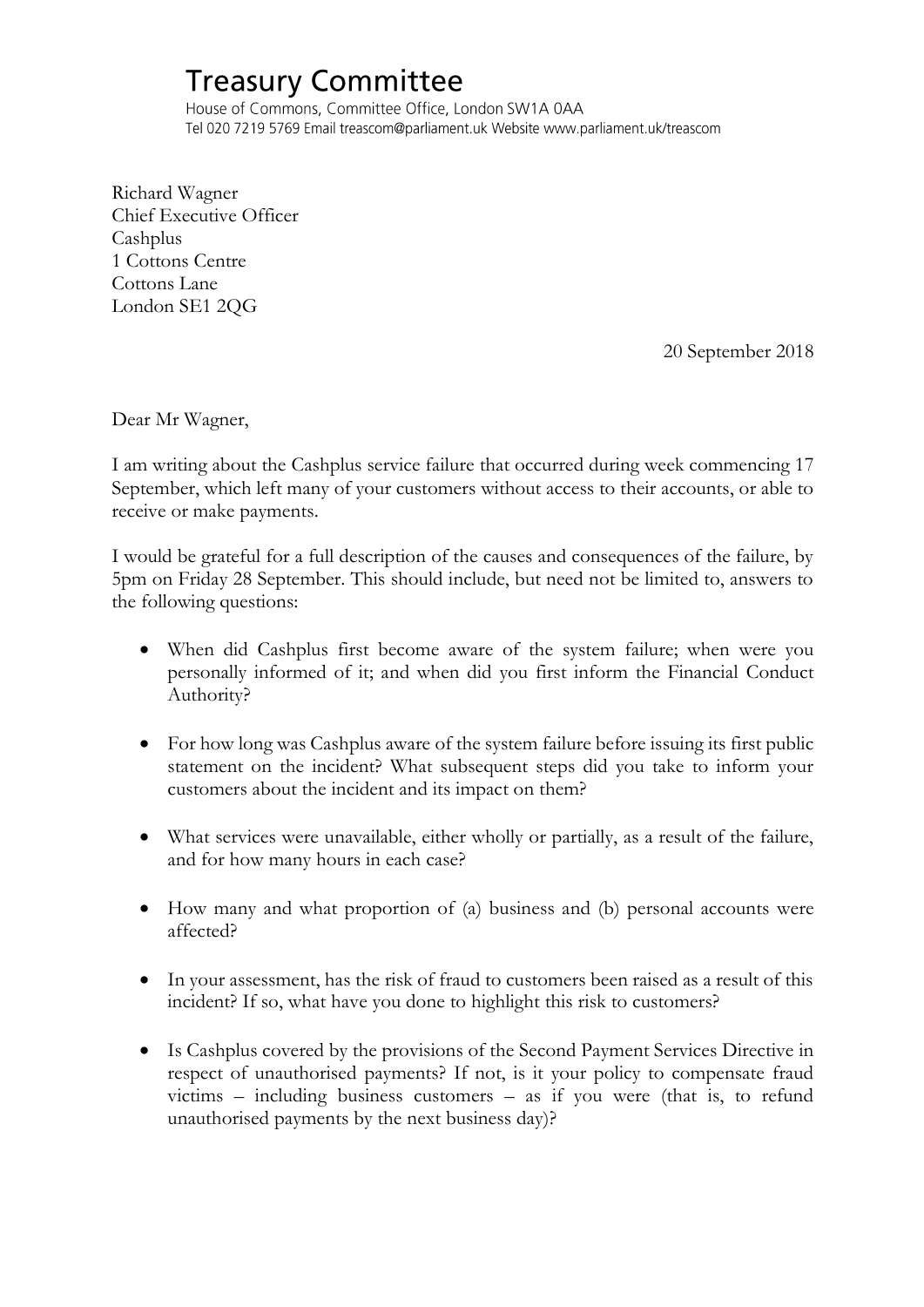## **Treasury Committee**

House of Commons, Committee Office, London SW1A 0AA Tel 020 7219 5769 Email treascom@parliament.uk Website www.parliament.uk/treascom

Richard Wagner Chief Executive Officer Cashplus 1 Cottons Centre Cottons Lane London SE1 2QG

20 September 2018

Dear Mr Wagner,

I am writing about the Cashplus service failure that occurred during week commencing 17 September, which left many of your customers without access to their accounts, or able to receive or make payments.

I would be grateful for a full description of the causes and consequences of the failure, by 5pm on Friday 28 September. This should include, but need not be limited to, answers to the following questions:

- When did Cashplus first become aware of the system failure; when were you personally informed of it; and when did you first inform the Financial Conduct Authority?
- For how long was Cashplus aware of the system failure before issuing its first public statement on the incident? What subsequent steps did you take to inform your customers about the incident and its impact on them?
- What services were unavailable, either wholly or partially, as a result of the failure, and for how many hours in each case?
- How many and what proportion of (a) business and (b) personal accounts were affected?
- In your assessment, has the risk of fraud to customers been raised as a result of this incident? If so, what have you done to highlight this risk to customers?
- Is Cashplus covered by the provisions of the Second Payment Services Directive in respect of unauthorised payments? If not, is it your policy to compensate fraud victims – including business customers – as if you were (that is, to refund unauthorised payments by the next business day)?